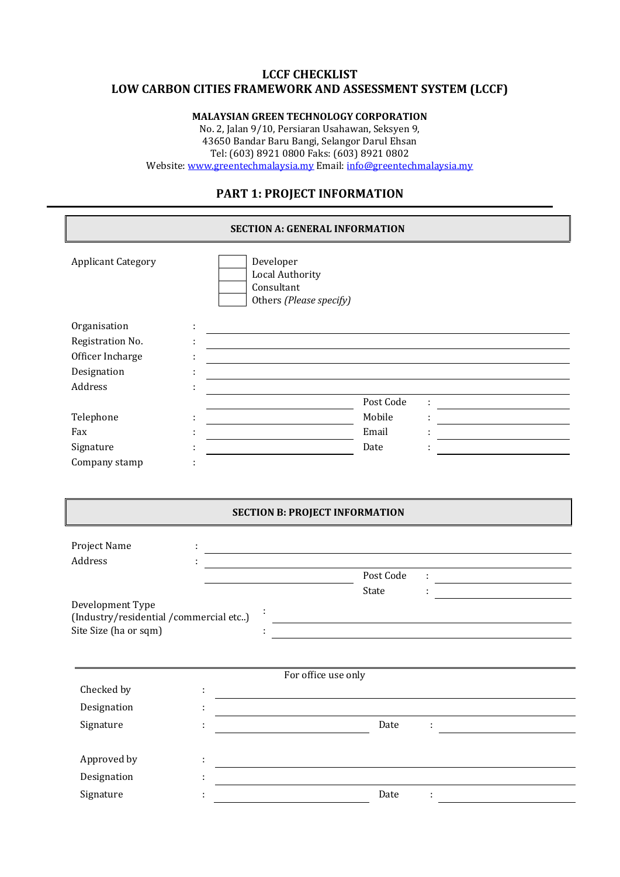#### **LCCF CHECKLIST LOW CARBON CITIES FRAMEWORK AND ASSESSMENT SYSTEM (LCCF)**

#### **MALAYSIAN GREEN TECHNOLOGY CORPORATION**

No. 2, Jalan 9/10, Persiaran Usahawan, Seksyen 9, 43650 Bandar Baru Bangi, Selangor Darul Ehsan Tel: (603) 8921 0800 Faks: (603) 8921 0802 Website[: www.greentechmalaysia.my](http://www.greentechmalaysia.my/) Email: [info@greentechmalaysia.my](mailto:info@greentechmalaysia.my)

## **PART 1: PROJECT INFORMATION**

| <b>SECTION A: GENERAL INFORMATION</b>                                              |    |                                                                                                                                                                                                                               |                                                                                                                        |  |
|------------------------------------------------------------------------------------|----|-------------------------------------------------------------------------------------------------------------------------------------------------------------------------------------------------------------------------------|------------------------------------------------------------------------------------------------------------------------|--|
| <b>Applicant Category</b>                                                          |    | Developer<br><b>Local Authority</b><br>Consultant<br>Others (Please specify)                                                                                                                                                  |                                                                                                                        |  |
| Organisation                                                                       |    |                                                                                                                                                                                                                               |                                                                                                                        |  |
| Registration No.                                                                   |    | <u> 1989 - Johann Stoff, Amerikaansk politiker († 1989)</u>                                                                                                                                                                   |                                                                                                                        |  |
| Officer Incharge                                                                   |    | and the control of the control of the control of the control of the control of the control of the control of the                                                                                                              |                                                                                                                        |  |
| Designation                                                                        |    | the control of the control of the control of the control of the control of the control of the control of the control of the control of the control of the control of the control of the control of the control of the control |                                                                                                                        |  |
| Address                                                                            |    |                                                                                                                                                                                                                               |                                                                                                                        |  |
|                                                                                    |    | Post Code                                                                                                                                                                                                                     |                                                                                                                        |  |
| Telephone                                                                          |    | Mobile<br><u> Albanya (Albanya) albanyi da albanyi albanyi albanyi albanyi albanyi albanyi albanyi albanyi albanyi albanyi </u>                                                                                               |                                                                                                                        |  |
| Fax                                                                                |    | Email                                                                                                                                                                                                                         |                                                                                                                        |  |
| Signature                                                                          |    | Date                                                                                                                                                                                                                          |                                                                                                                        |  |
| Company stamp                                                                      |    |                                                                                                                                                                                                                               |                                                                                                                        |  |
| Project Name<br>Address                                                            |    | <u> 1980 - Johann Barn, mars ann an t-Amhain Aonaichte ann an t-Aonaichte ann an t-Aonaichte ann an t-Aonaichte a</u><br>the control of the control of the control of the control of the control of the control of            |                                                                                                                        |  |
|                                                                                    |    | Post Code                                                                                                                                                                                                                     | <u> 1989 - Johann Barbara, martxa alemaniar a</u>                                                                      |  |
| Development Type<br>(Industry/residential/commercial etc)<br>Site Size (ha or sqm) |    | State                                                                                                                                                                                                                         | <u> 1989 - Johann Stoff, deutscher Stoffen und der Stoffen und der Stoffen und der Stoffen und der Stoffen und der</u> |  |
|                                                                                    |    | For office use only                                                                                                                                                                                                           |                                                                                                                        |  |
| Checked by                                                                         | t  |                                                                                                                                                                                                                               |                                                                                                                        |  |
| Designation                                                                        | ÷  |                                                                                                                                                                                                                               |                                                                                                                        |  |
| Signature                                                                          | ÷  | Date                                                                                                                                                                                                                          | ÷                                                                                                                      |  |
| Approved by                                                                        | ÷  |                                                                                                                                                                                                                               |                                                                                                                        |  |
| Designation                                                                        | Ì, |                                                                                                                                                                                                                               |                                                                                                                        |  |
|                                                                                    |    |                                                                                                                                                                                                                               |                                                                                                                        |  |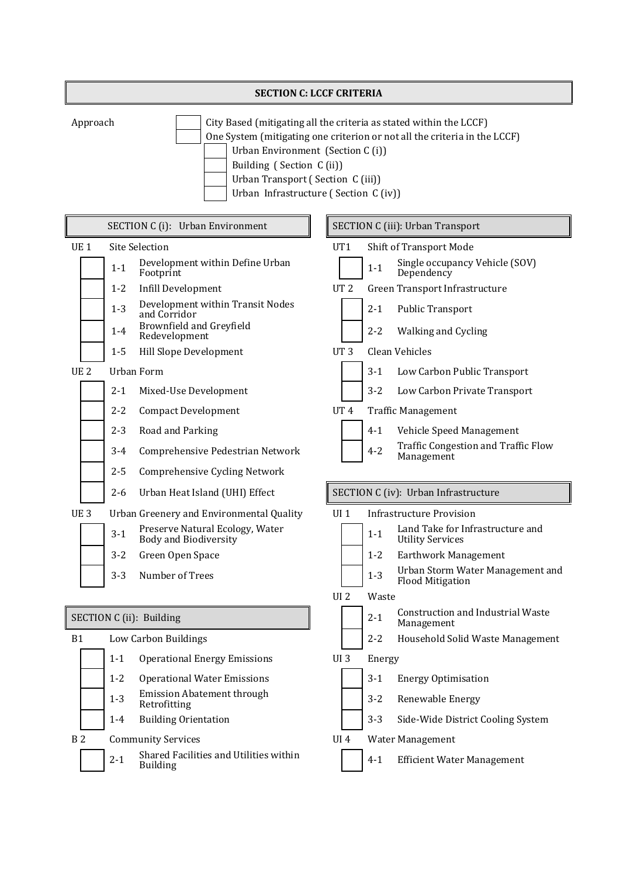| <b>SECTION C: LCCF CRITERIA</b> |                                                                                                                                                                                                                                                                                               |  |  |  |  |
|---------------------------------|-----------------------------------------------------------------------------------------------------------------------------------------------------------------------------------------------------------------------------------------------------------------------------------------------|--|--|--|--|
| Approach                        | City Based (mitigating all the criteria as stated within the LCCF)<br>One System (mitigating one criterion or not all the criteria in the LCCF)<br>Urban Environment (Section C(i))<br>Building (Section C(ii))<br>Urban Transport (Section C (iii))<br>Urban Infrastructure (Section C (iv)) |  |  |  |  |

| SECTION C (i): Urban Environment |         |                                                                 |                 |         | <b>SECTION C (iii): Urban Transport</b>                     |
|----------------------------------|---------|-----------------------------------------------------------------|-----------------|---------|-------------------------------------------------------------|
| UE <sub>1</sub>                  |         | <b>Site Selection</b>                                           | UT1             |         | <b>Shift of Transport Mode</b>                              |
|                                  | $1 - 1$ | Development within Define Urban<br>Footprint                    |                 | $1 - 1$ | Single occupancy Vehicle (SOV)<br>Dependency                |
|                                  | $1 - 2$ | <b>Infill Development</b>                                       | UT <sub>2</sub> |         | Green Transport Infrastructure                              |
|                                  | $1 - 3$ | Development within Transit Nodes<br>and Corridor                |                 | $2 - 1$ | <b>Public Transport</b>                                     |
|                                  | $1 - 4$ | Brownfield and Greyfield<br>Redevelopment                       |                 | $2 - 2$ | Walking and Cycling                                         |
|                                  | $1 - 5$ | Hill Slope Development                                          | UT <sub>3</sub> |         | <b>Clean Vehicles</b>                                       |
| UE <sub>2</sub>                  |         | Urban Form                                                      |                 | $3 - 1$ | Low Carbon Public Transport                                 |
|                                  | $2 - 1$ | Mixed-Use Development                                           |                 | $3 - 2$ | Low Carbon Private Transport                                |
|                                  | $2 - 2$ | <b>Compact Development</b>                                      | UT <sub>4</sub> |         | <b>Traffic Management</b>                                   |
|                                  | $2 - 3$ | Road and Parking                                                |                 | $4 - 1$ | Vehicle Speed Management                                    |
|                                  | $3 - 4$ | Comprehensive Pedestrian Network                                |                 | $4 - 2$ | Traffic Congestion and Traffic Flow<br>Management           |
|                                  | $2 - 5$ | Comprehensive Cycling Network                                   |                 |         |                                                             |
|                                  | $2 - 6$ | Urban Heat Island (UHI) Effect                                  |                 |         | SECTION C (iv): Urban Infrastructure                        |
| UE <sub>3</sub>                  |         | Urban Greenery and Environmental Quality                        | UI <sub>1</sub> |         | <b>Infrastructure Provision</b>                             |
|                                  | $3 - 1$ | Preserve Natural Ecology, Water<br><b>Body and Biodiversity</b> |                 | $1 - 1$ | Land Take for Infrastructure and<br><b>Utility Services</b> |
|                                  | $3 - 2$ | Green Open Space                                                |                 | $1 - 2$ | Earthwork Management                                        |
|                                  | $3 - 3$ | Number of Trees                                                 |                 | $1 - 3$ | Urban Storm Water Management and<br><b>Flood Mitigation</b> |
|                                  |         |                                                                 | UI <sub>2</sub> | Waste   |                                                             |
|                                  |         | SECTION C (ii): Building                                        |                 | $2 - 1$ | <b>Construction and Industrial Waste</b><br>Management      |
| <b>B1</b>                        |         | Low Carbon Buildings                                            |                 | $2 - 2$ | Household Solid Waste Management                            |
|                                  | $1 - 1$ | <b>Operational Energy Emissions</b>                             | UI <sub>3</sub> | Energy  |                                                             |
|                                  | $1 - 2$ | <b>Operational Water Emissions</b>                              |                 |         | 3-1 Energy Optimisation                                     |
|                                  | $1 - 3$ | <b>Emission Abatement through</b><br>Retrofitting               |                 | $3 - 2$ | Renewable Energy                                            |
|                                  | $1 - 4$ | <b>Building Orientation</b>                                     |                 | $3 - 3$ | Side-Wide District Cooling System                           |
| <b>B2</b>                        |         | <b>Community Services</b>                                       | <b>UI4</b>      |         | Water Management                                            |
|                                  | $2 - 1$ | Shared Facilities and Utilities within<br><b>Building</b>       |                 | $4 - 1$ | <b>Efficient Water Management</b>                           |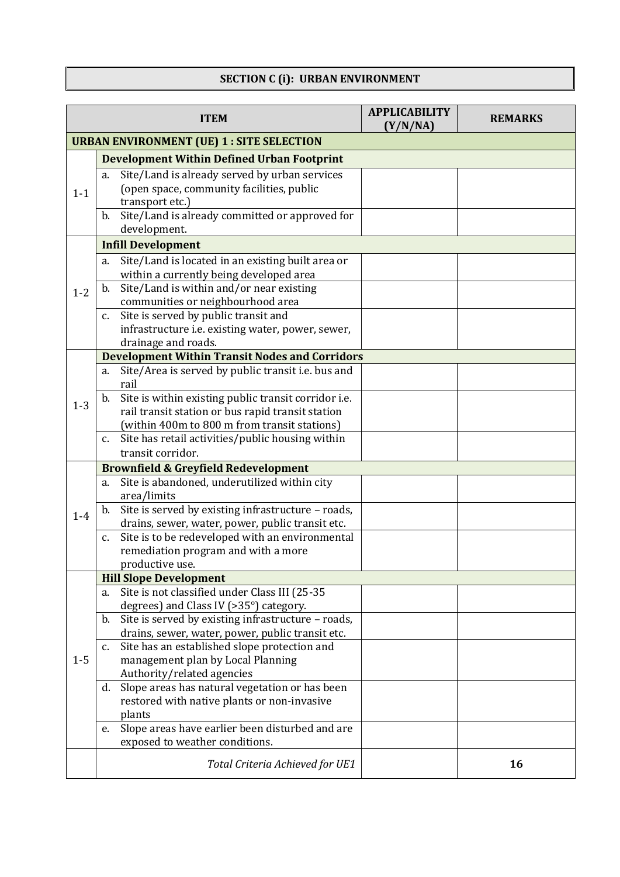### **SECTION C (i): URBAN ENVIRONMENT**

|         | <b>ITEM</b>                                                                                                  | <b>APPLICABILITY</b><br>(Y/N/NA) | <b>REMARKS</b> |  |  |  |
|---------|--------------------------------------------------------------------------------------------------------------|----------------------------------|----------------|--|--|--|
|         | <b>URBAN ENVIRONMENT (UE) 1 : SITE SELECTION</b>                                                             |                                  |                |  |  |  |
|         | <b>Development Within Defined Urban Footprint</b>                                                            |                                  |                |  |  |  |
|         | Site/Land is already served by urban services<br>a.                                                          |                                  |                |  |  |  |
| $1 - 1$ | (open space, community facilities, public                                                                    |                                  |                |  |  |  |
|         | transport etc.)                                                                                              |                                  |                |  |  |  |
|         | Site/Land is already committed or approved for<br>b.                                                         |                                  |                |  |  |  |
|         | development.                                                                                                 |                                  |                |  |  |  |
|         | <b>Infill Development</b>                                                                                    |                                  |                |  |  |  |
|         | Site/Land is located in an existing built area or<br>a.                                                      |                                  |                |  |  |  |
|         | within a currently being developed area                                                                      |                                  |                |  |  |  |
| $1 - 2$ | Site/Land is within and/or near existing<br>b.<br>communities or neighbourhood area                          |                                  |                |  |  |  |
|         | Site is served by public transit and<br>C.                                                                   |                                  |                |  |  |  |
|         | infrastructure i.e. existing water, power, sewer,                                                            |                                  |                |  |  |  |
|         | drainage and roads.                                                                                          |                                  |                |  |  |  |
|         | <b>Development Within Transit Nodes and Corridors</b>                                                        |                                  |                |  |  |  |
|         | Site/Area is served by public transit i.e. bus and<br>a.                                                     |                                  |                |  |  |  |
|         | rail                                                                                                         |                                  |                |  |  |  |
| $1 - 3$ | Site is within existing public transit corridor i.e.<br>b.                                                   |                                  |                |  |  |  |
|         | rail transit station or bus rapid transit station                                                            |                                  |                |  |  |  |
|         | (within 400m to 800 m from transit stations)                                                                 |                                  |                |  |  |  |
|         | Site has retail activities/public housing within<br>C.<br>transit corridor.                                  |                                  |                |  |  |  |
|         |                                                                                                              |                                  |                |  |  |  |
|         | <b>Brownfield &amp; Greyfield Redevelopment</b><br>Site is abandoned, underutilized within city<br>a.        |                                  |                |  |  |  |
|         | area/limits                                                                                                  |                                  |                |  |  |  |
|         | Site is served by existing infrastructure - roads,<br>b.                                                     |                                  |                |  |  |  |
| $1-4$   | drains, sewer, water, power, public transit etc.                                                             |                                  |                |  |  |  |
|         | Site is to be redeveloped with an environmental<br>$C_{\bullet}$                                             |                                  |                |  |  |  |
|         | remediation program and with a more                                                                          |                                  |                |  |  |  |
|         | productive use.                                                                                              |                                  |                |  |  |  |
|         | <b>Hill Slope Development</b>                                                                                |                                  |                |  |  |  |
|         | Site is not classified under Class III (25-35<br>a.                                                          |                                  |                |  |  |  |
|         | degrees) and Class IV (>35°) category.                                                                       |                                  |                |  |  |  |
|         | Site is served by existing infrastructure - roads,<br>b.<br>drains, sewer, water, power, public transit etc. |                                  |                |  |  |  |
|         | Site has an established slope protection and<br>c.                                                           |                                  |                |  |  |  |
| $1-5$   | management plan by Local Planning                                                                            |                                  |                |  |  |  |
|         | Authority/related agencies                                                                                   |                                  |                |  |  |  |
|         | Slope areas has natural vegetation or has been<br>d.                                                         |                                  |                |  |  |  |
|         | restored with native plants or non-invasive                                                                  |                                  |                |  |  |  |
|         | plants                                                                                                       |                                  |                |  |  |  |
|         | Slope areas have earlier been disturbed and are<br>e.                                                        |                                  |                |  |  |  |
|         | exposed to weather conditions.                                                                               |                                  |                |  |  |  |
|         | Total Criteria Achieved for UE1                                                                              |                                  | 16             |  |  |  |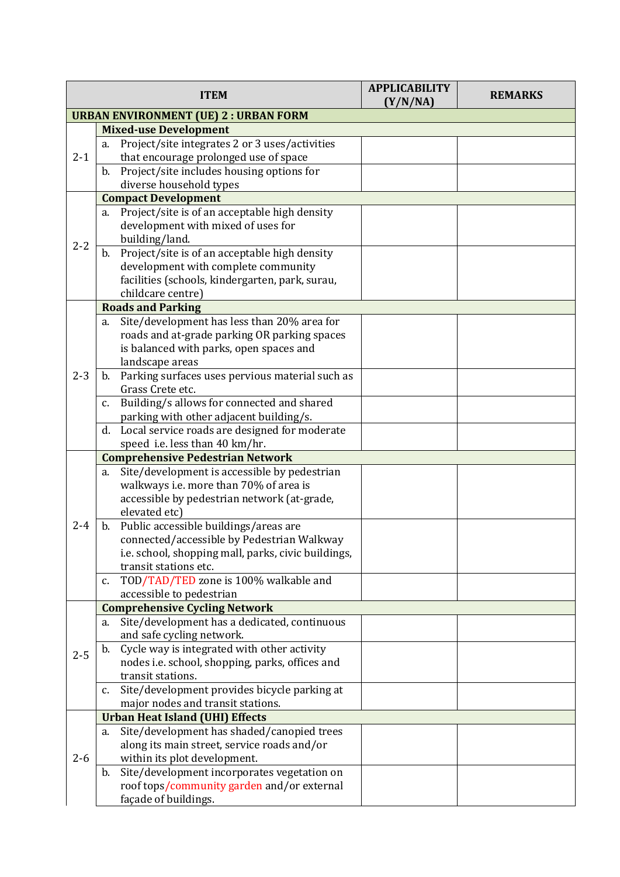|                                              | <b>ITEM</b>                                                                           | <b>APPLICABILITY</b><br>(Y/N/NA) | <b>REMARKS</b> |  |  |
|----------------------------------------------|---------------------------------------------------------------------------------------|----------------------------------|----------------|--|--|
| <b>URBAN ENVIRONMENT (UE) 2 : URBAN FORM</b> |                                                                                       |                                  |                |  |  |
|                                              | <b>Mixed-use Development</b>                                                          |                                  |                |  |  |
|                                              | Project/site integrates 2 or 3 uses/activities<br>a.                                  |                                  |                |  |  |
| $2 - 1$                                      | that encourage prolonged use of space                                                 |                                  |                |  |  |
|                                              | Project/site includes housing options for<br>b.                                       |                                  |                |  |  |
|                                              | diverse household types                                                               |                                  |                |  |  |
|                                              | <b>Compact Development</b>                                                            |                                  |                |  |  |
|                                              | Project/site is of an acceptable high density<br>a.                                   |                                  |                |  |  |
|                                              | development with mixed of uses for                                                    |                                  |                |  |  |
| $2 - 2$                                      | building/land.                                                                        |                                  |                |  |  |
|                                              | Project/site is of an acceptable high density<br>b.                                   |                                  |                |  |  |
|                                              | development with complete community                                                   |                                  |                |  |  |
|                                              | facilities (schools, kindergarten, park, surau,                                       |                                  |                |  |  |
|                                              | childcare centre)                                                                     |                                  |                |  |  |
|                                              | <b>Roads and Parking</b>                                                              |                                  |                |  |  |
|                                              | Site/development has less than 20% area for<br>a.                                     |                                  |                |  |  |
|                                              | roads and at-grade parking OR parking spaces                                          |                                  |                |  |  |
|                                              | is balanced with parks, open spaces and                                               |                                  |                |  |  |
|                                              | landscape areas                                                                       |                                  |                |  |  |
| $2 - 3$                                      | Parking surfaces uses pervious material such as<br>b.                                 |                                  |                |  |  |
|                                              | Grass Crete etc.                                                                      |                                  |                |  |  |
|                                              | Building/s allows for connected and shared<br>c.                                      |                                  |                |  |  |
|                                              | parking with other adjacent building/s.                                               |                                  |                |  |  |
|                                              | Local service roads are designed for moderate<br>d.                                   |                                  |                |  |  |
|                                              | speed i.e. less than 40 km/hr.                                                        |                                  |                |  |  |
|                                              | <b>Comprehensive Pedestrian Network</b>                                               |                                  |                |  |  |
|                                              | Site/development is accessible by pedestrian<br>a.                                    |                                  |                |  |  |
|                                              | walkways i.e. more than 70% of area is<br>accessible by pedestrian network (at-grade, |                                  |                |  |  |
|                                              | elevated etc)                                                                         |                                  |                |  |  |
| $2 - 4$                                      | Public accessible buildings/areas are<br>b.                                           |                                  |                |  |  |
|                                              | connected/accessible by Pedestrian Walkway                                            |                                  |                |  |  |
|                                              | i.e. school, shopping mall, parks, civic buildings,                                   |                                  |                |  |  |
|                                              | transit stations etc.                                                                 |                                  |                |  |  |
|                                              | TOD/TAD/TED zone is 100% walkable and<br>c.                                           |                                  |                |  |  |
|                                              | accessible to pedestrian                                                              |                                  |                |  |  |
|                                              | <b>Comprehensive Cycling Network</b>                                                  |                                  |                |  |  |
|                                              | Site/development has a dedicated, continuous<br>a.                                    |                                  |                |  |  |
|                                              | and safe cycling network.                                                             |                                  |                |  |  |
|                                              | Cycle way is integrated with other activity<br>b.                                     |                                  |                |  |  |
| $2 - 5$                                      | nodes i.e. school, shopping, parks, offices and                                       |                                  |                |  |  |
|                                              | transit stations.                                                                     |                                  |                |  |  |
|                                              | Site/development provides bicycle parking at<br>c.                                    |                                  |                |  |  |
|                                              | major nodes and transit stations.                                                     |                                  |                |  |  |
|                                              | <b>Urban Heat Island (UHI) Effects</b>                                                |                                  |                |  |  |
|                                              | Site/development has shaded/canopied trees<br>a.                                      |                                  |                |  |  |
|                                              | along its main street, service roads and/or                                           |                                  |                |  |  |
| $2 - 6$                                      | within its plot development.                                                          |                                  |                |  |  |
|                                              | Site/development incorporates vegetation on<br>b.                                     |                                  |                |  |  |
|                                              | roof tops/community garden and/or external                                            |                                  |                |  |  |
|                                              | façade of buildings.                                                                  |                                  |                |  |  |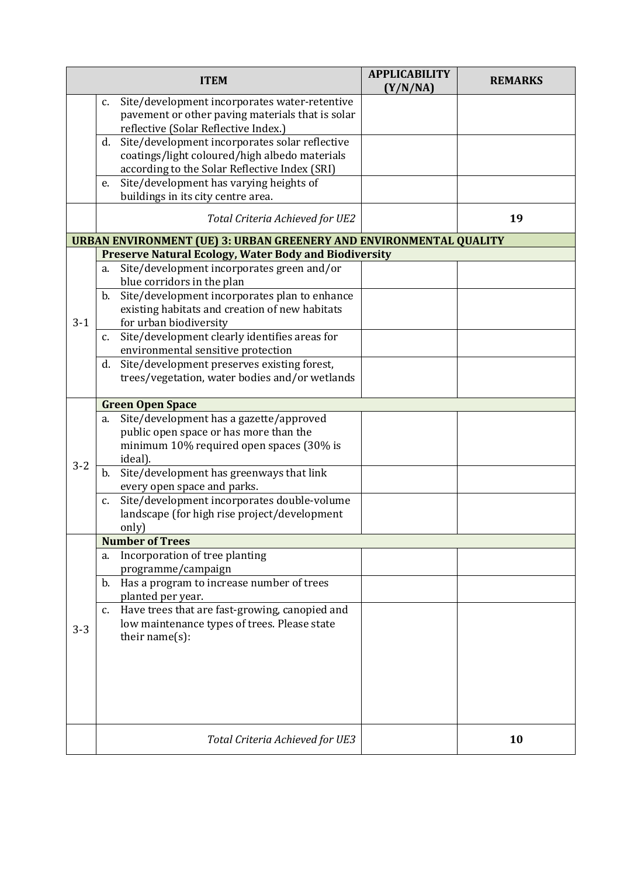|         |               | <b>ITEM</b>                                                                              | <b>APPLICABILITY</b><br>(Y/N/NA) | <b>REMARKS</b> |
|---------|---------------|------------------------------------------------------------------------------------------|----------------------------------|----------------|
|         | c.            | Site/development incorporates water-retentive                                            |                                  |                |
|         |               | pavement or other paving materials that is solar<br>reflective (Solar Reflective Index.) |                                  |                |
|         | d.            | Site/development incorporates solar reflective                                           |                                  |                |
|         |               | coatings/light coloured/high albedo materials                                            |                                  |                |
|         |               | according to the Solar Reflective Index (SRI)                                            |                                  |                |
|         | e.            | Site/development has varying heights of                                                  |                                  |                |
|         |               | buildings in its city centre area.                                                       |                                  |                |
|         |               | Total Criteria Achieved for UE2                                                          |                                  | 19             |
|         |               | <b>URBAN ENVIRONMENT (UE) 3: URBAN GREENERY AND ENVIRONMENTAL QUALITY</b>                |                                  |                |
|         |               | <b>Preserve Natural Ecology, Water Body and Biodiversity</b>                             |                                  |                |
|         | a.            | Site/development incorporates green and/or                                               |                                  |                |
|         |               | blue corridors in the plan                                                               |                                  |                |
|         | b.            | Site/development incorporates plan to enhance                                            |                                  |                |
| $3-1$   |               | existing habitats and creation of new habitats<br>for urban biodiversity                 |                                  |                |
|         | c.            | Site/development clearly identifies areas for                                            |                                  |                |
|         |               | environmental sensitive protection                                                       |                                  |                |
|         | d.            | Site/development preserves existing forest,                                              |                                  |                |
|         |               | trees/vegetation, water bodies and/or wetlands                                           |                                  |                |
|         |               |                                                                                          |                                  |                |
|         |               | <b>Green Open Space</b>                                                                  |                                  |                |
|         | a.            | Site/development has a gazette/approved                                                  |                                  |                |
|         |               | public open space or has more than the                                                   |                                  |                |
|         |               | minimum 10% required open spaces (30% is                                                 |                                  |                |
| $3 - 2$ |               | ideal).                                                                                  |                                  |                |
|         | b.            | Site/development has greenways that link                                                 |                                  |                |
|         |               | every open space and parks.<br>Site/development incorporates double-volume               |                                  |                |
|         | c.            | landscape (for high rise project/development                                             |                                  |                |
|         |               | only)                                                                                    |                                  |                |
|         |               | <b>Number of Trees</b>                                                                   |                                  |                |
|         | a.            | Incorporation of tree planting                                                           |                                  |                |
|         |               | programme/campaign                                                                       |                                  |                |
|         | b.            | Has a program to increase number of trees                                                |                                  |                |
|         |               | planted per year.                                                                        |                                  |                |
|         | $C_{\bullet}$ | Have trees that are fast-growing, canopied and                                           |                                  |                |
| $3 - 3$ |               | low maintenance types of trees. Please state                                             |                                  |                |
|         |               | their name $(s)$ :                                                                       |                                  |                |
|         |               |                                                                                          |                                  |                |
|         |               |                                                                                          |                                  |                |
|         |               |                                                                                          |                                  |                |
|         |               |                                                                                          |                                  |                |
|         |               |                                                                                          |                                  |                |
|         |               | Total Criteria Achieved for UE3                                                          |                                  | 10             |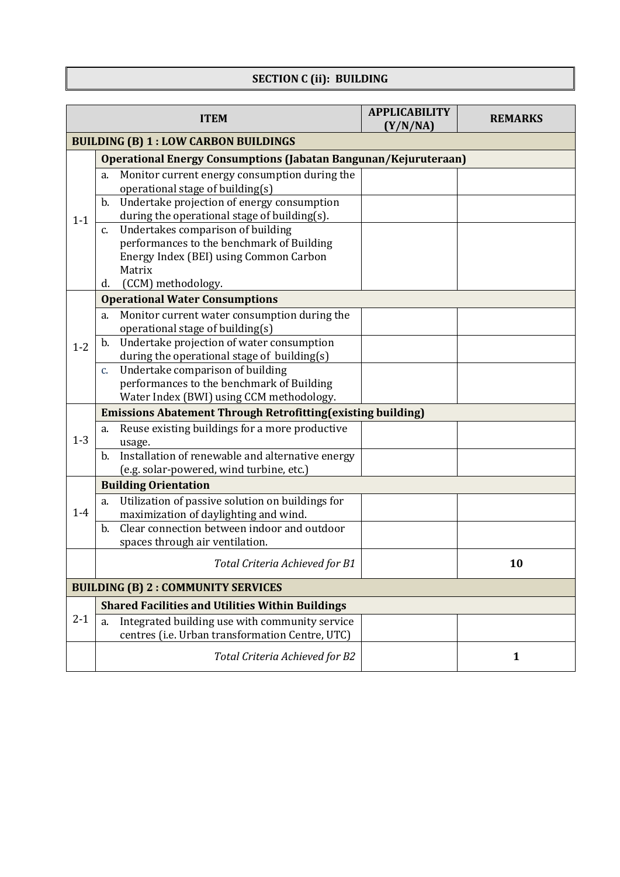# **SECTION C (ii): BUILDING**

|         | <b>APPLICABILITY</b><br><b>ITEM</b><br><b>REMARKS</b><br>(Y/N/NA)                              |  |              |  |  |  |
|---------|------------------------------------------------------------------------------------------------|--|--------------|--|--|--|
|         | <b>BUILDING (B) 1: LOW CARBON BUILDINGS</b>                                                    |  |              |  |  |  |
|         | Operational Energy Consumptions (Jabatan Bangunan/Kejuruteraan)                                |  |              |  |  |  |
|         | Monitor current energy consumption during the<br>a.                                            |  |              |  |  |  |
|         | operational stage of building(s)                                                               |  |              |  |  |  |
|         | Undertake projection of energy consumption<br>$\mathbf{b}$ .                                   |  |              |  |  |  |
| $1 - 1$ | during the operational stage of building(s).                                                   |  |              |  |  |  |
|         | Undertakes comparison of building<br>$C_{\bullet}$                                             |  |              |  |  |  |
|         | performances to the benchmark of Building                                                      |  |              |  |  |  |
|         | Energy Index (BEI) using Common Carbon                                                         |  |              |  |  |  |
|         | Matrix                                                                                         |  |              |  |  |  |
|         | (CCM) methodology.<br>d.                                                                       |  |              |  |  |  |
|         | <b>Operational Water Consumptions</b>                                                          |  |              |  |  |  |
|         | Monitor current water consumption during the<br>a.                                             |  |              |  |  |  |
|         | operational stage of building(s)                                                               |  |              |  |  |  |
| $1 - 2$ | Undertake projection of water consumption<br>b.                                                |  |              |  |  |  |
|         | during the operational stage of building(s)<br>Undertake comparison of building<br>$C_{\star}$ |  |              |  |  |  |
|         | performances to the benchmark of Building                                                      |  |              |  |  |  |
|         | Water Index (BWI) using CCM methodology.                                                       |  |              |  |  |  |
|         | <b>Emissions Abatement Through Retrofitting (existing building)</b>                            |  |              |  |  |  |
|         | Reuse existing buildings for a more productive<br>a.                                           |  |              |  |  |  |
| $1-3$   | usage.                                                                                         |  |              |  |  |  |
|         | Installation of renewable and alternative energy<br>b.                                         |  |              |  |  |  |
|         | (e.g. solar-powered, wind turbine, etc.)                                                       |  |              |  |  |  |
|         | <b>Building Orientation</b>                                                                    |  |              |  |  |  |
|         | Utilization of passive solution on buildings for<br>a.                                         |  |              |  |  |  |
| $1-4$   | maximization of daylighting and wind.                                                          |  |              |  |  |  |
|         | Clear connection between indoor and outdoor<br>b.                                              |  |              |  |  |  |
|         | spaces through air ventilation.                                                                |  |              |  |  |  |
|         | Total Criteria Achieved for B1                                                                 |  | 10           |  |  |  |
|         | <b>BUILDING (B) 2: COMMUNITY SERVICES</b>                                                      |  |              |  |  |  |
|         | <b>Shared Facilities and Utilities Within Buildings</b>                                        |  |              |  |  |  |
| $2 - 1$ | Integrated building use with community service<br>a.                                           |  |              |  |  |  |
|         | centres (i.e. Urban transformation Centre, UTC)                                                |  |              |  |  |  |
|         | Total Criteria Achieved for B2                                                                 |  | $\mathbf{1}$ |  |  |  |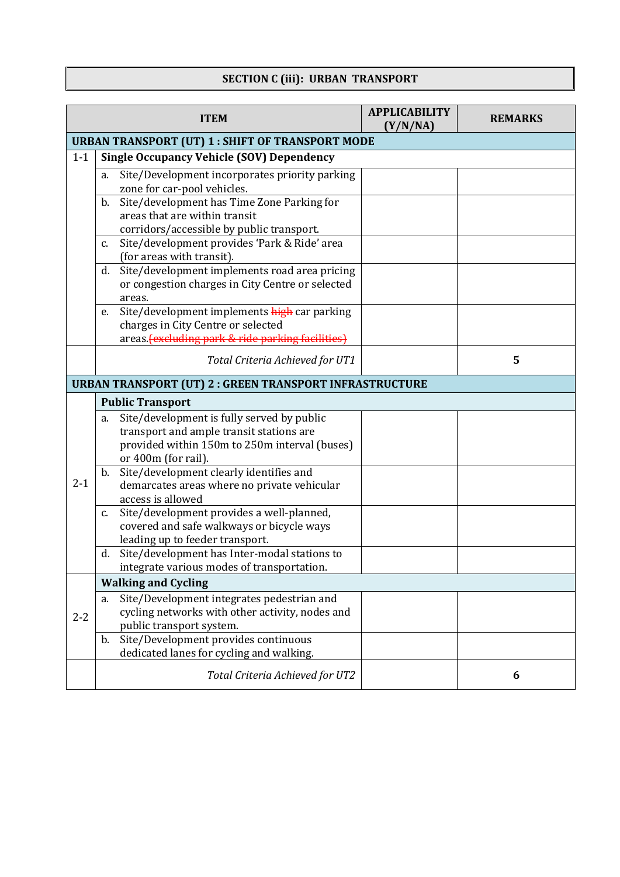# **SECTION C (iii): URBAN TRANSPORT**

|         |    | <b>ITEM</b>                                                                                | <b>APPLICABILITY</b><br>(Y/N/NA) | <b>REMARKS</b> |
|---------|----|--------------------------------------------------------------------------------------------|----------------------------------|----------------|
|         |    | <b>URBAN TRANSPORT (UT) 1: SHIFT OF TRANSPORT MODE</b>                                     |                                  |                |
| $1 - 1$ |    | <b>Single Occupancy Vehicle (SOV) Dependency</b>                                           |                                  |                |
|         | a. | Site/Development incorporates priority parking                                             |                                  |                |
|         |    | zone for car-pool vehicles.                                                                |                                  |                |
|         | b. | Site/development has Time Zone Parking for                                                 |                                  |                |
|         |    | areas that are within transit                                                              |                                  |                |
|         |    | corridors/accessible by public transport.                                                  |                                  |                |
|         | c. | Site/development provides 'Park & Ride' area<br>(for areas with transit).                  |                                  |                |
|         | d. | Site/development implements road area pricing                                              |                                  |                |
|         |    | or congestion charges in City Centre or selected                                           |                                  |                |
|         |    | areas.                                                                                     |                                  |                |
|         | e. | Site/development implements high car parking                                               |                                  |                |
|         |    | charges in City Centre or selected                                                         |                                  |                |
|         |    | areas. (excluding park & ride parking facilities)                                          |                                  |                |
|         |    | Total Criteria Achieved for UT1                                                            |                                  | 5              |
|         |    | <b>URBAN TRANSPORT (UT) 2: GREEN TRANSPORT INFRASTRUCTURE</b>                              |                                  |                |
|         |    | <b>Public Transport</b>                                                                    |                                  |                |
|         | a. | Site/development is fully served by public                                                 |                                  |                |
|         |    | transport and ample transit stations are                                                   |                                  |                |
|         |    | provided within 150m to 250m interval (buses)                                              |                                  |                |
|         |    | or 400m (for rail).                                                                        |                                  |                |
|         |    | b. Site/development clearly identifies and                                                 |                                  |                |
| $2 - 1$ |    | demarcates areas where no private vehicular                                                |                                  |                |
|         |    | access is allowed                                                                          |                                  |                |
|         | c. | Site/development provides a well-planned,                                                  |                                  |                |
|         |    | covered and safe walkways or bicycle ways                                                  |                                  |                |
|         |    | leading up to feeder transport.                                                            |                                  |                |
|         | d. | Site/development has Inter-modal stations to<br>integrate various modes of transportation. |                                  |                |
|         |    |                                                                                            |                                  |                |
|         |    | <b>Walking and Cycling</b>                                                                 |                                  |                |
|         | a. | Site/Development integrates pedestrian and                                                 |                                  |                |
| $2 - 2$ |    | cycling networks with other activity, nodes and<br>public transport system.                |                                  |                |
|         | b. | Site/Development provides continuous                                                       |                                  |                |
|         |    | dedicated lanes for cycling and walking.                                                   |                                  |                |
|         |    | Total Criteria Achieved for UT2                                                            |                                  | 6              |
|         |    |                                                                                            |                                  |                |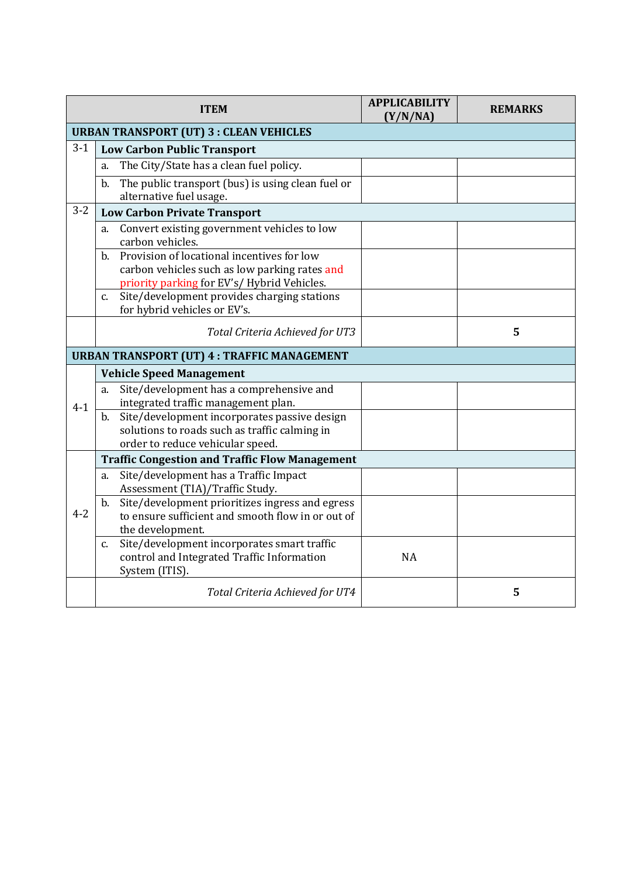|         | <b>ITEM</b>                                                                                                                                     | <b>APPLICABILITY</b><br>(Y/N/NA) | <b>REMARKS</b> |
|---------|-------------------------------------------------------------------------------------------------------------------------------------------------|----------------------------------|----------------|
|         | <b>URBAN TRANSPORT (UT) 3 : CLEAN VEHICLES</b>                                                                                                  |                                  |                |
| $3-1$   | <b>Low Carbon Public Transport</b>                                                                                                              |                                  |                |
|         | The City/State has a clean fuel policy.<br>a.                                                                                                   |                                  |                |
|         | The public transport (bus) is using clean fuel or<br>b.<br>alternative fuel usage.                                                              |                                  |                |
| $3 - 2$ | <b>Low Carbon Private Transport</b>                                                                                                             |                                  |                |
|         | Convert existing government vehicles to low<br>a.<br>carbon vehicles.                                                                           |                                  |                |
|         | Provision of locational incentives for low<br>b.<br>carbon vehicles such as low parking rates and<br>priority parking for EV's/Hybrid Vehicles. |                                  |                |
|         | Site/development provides charging stations<br>$C_{1}$<br>for hybrid vehicles or EV's.                                                          |                                  |                |
|         | Total Criteria Achieved for UT3                                                                                                                 |                                  | 5              |
|         | <b>URBAN TRANSPORT (UT) 4 : TRAFFIC MANAGEMENT</b>                                                                                              |                                  |                |
|         | <b>Vehicle Speed Management</b>                                                                                                                 |                                  |                |
| $4 - 1$ | Site/development has a comprehensive and<br>a.<br>integrated traffic management plan.                                                           |                                  |                |
|         | Site/development incorporates passive design<br>b.<br>solutions to roads such as traffic calming in<br>order to reduce vehicular speed.         |                                  |                |
|         | <b>Traffic Congestion and Traffic Flow Management</b>                                                                                           |                                  |                |
|         | Site/development has a Traffic Impact<br>a.<br>Assessment (TIA)/Traffic Study.                                                                  |                                  |                |
| $4 - 2$ | Site/development prioritizes ingress and egress<br>$\mathbf b$ .<br>to ensure sufficient and smooth flow in or out of<br>the development.       |                                  |                |
|         | Site/development incorporates smart traffic<br>$c_{\cdot}$<br>control and Integrated Traffic Information<br>System (ITIS).                      | <b>NA</b>                        |                |
|         | Total Criteria Achieved for UT4                                                                                                                 |                                  | 5              |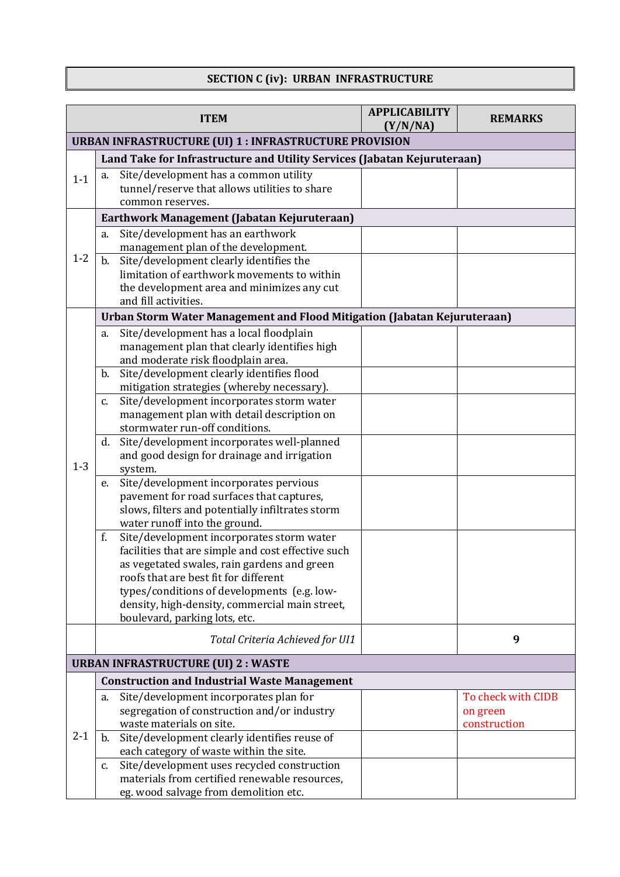### **SECTION C (iv): URBAN INFRASTRUCTURE**

|                                                               | <b>ITEM</b>                                                                                                                                                                                                                                                                                                                     | <b>APPLICABILITY</b><br>(Y/N/NA) | <b>REMARKS</b>                                 |  |  |
|---------------------------------------------------------------|---------------------------------------------------------------------------------------------------------------------------------------------------------------------------------------------------------------------------------------------------------------------------------------------------------------------------------|----------------------------------|------------------------------------------------|--|--|
| <b>URBAN INFRASTRUCTURE (UI) 1 : INFRASTRUCTURE PROVISION</b> |                                                                                                                                                                                                                                                                                                                                 |                                  |                                                |  |  |
|                                                               | Land Take for Infrastructure and Utility Services (Jabatan Kejuruteraan)                                                                                                                                                                                                                                                        |                                  |                                                |  |  |
| $1 - 1$                                                       | Site/development has a common utility<br>a.<br>tunnel/reserve that allows utilities to share<br>common reserves.                                                                                                                                                                                                                |                                  |                                                |  |  |
|                                                               | Earthwork Management (Jabatan Kejuruteraan)                                                                                                                                                                                                                                                                                     |                                  |                                                |  |  |
| $1 - 2$                                                       | Site/development has an earthwork<br>a.<br>management plan of the development.<br>Site/development clearly identifies the<br>b.<br>limitation of earthwork movements to within<br>the development area and minimizes any cut<br>and fill activities.                                                                            |                                  |                                                |  |  |
|                                                               | Urban Storm Water Management and Flood Mitigation (Jabatan Kejuruteraan)                                                                                                                                                                                                                                                        |                                  |                                                |  |  |
|                                                               | Site/development has a local floodplain<br>a.<br>management plan that clearly identifies high<br>and moderate risk floodplain area.                                                                                                                                                                                             |                                  |                                                |  |  |
|                                                               | Site/development clearly identifies flood<br>$\mathbf b$ .<br>mitigation strategies (whereby necessary).                                                                                                                                                                                                                        |                                  |                                                |  |  |
|                                                               | Site/development incorporates storm water<br>c.<br>management plan with detail description on<br>stormwater run-off conditions.                                                                                                                                                                                                 |                                  |                                                |  |  |
| $1 - 3$                                                       | Site/development incorporates well-planned<br>d.<br>and good design for drainage and irrigation<br>system.                                                                                                                                                                                                                      |                                  |                                                |  |  |
|                                                               | Site/development incorporates pervious<br>e.<br>pavement for road surfaces that captures,<br>slows, filters and potentially infiltrates storm<br>water runoff into the ground.                                                                                                                                                  |                                  |                                                |  |  |
|                                                               | f.<br>Site/development incorporates storm water<br>facilities that are simple and cost effective such<br>as vegetated swales, rain gardens and green<br>roofs that are best fit for different<br>types/conditions of developments (e.g. low-<br>density, high-density, commercial main street,<br>boulevard, parking lots, etc. |                                  |                                                |  |  |
|                                                               | Total Criteria Achieved for UI1                                                                                                                                                                                                                                                                                                 |                                  | 9                                              |  |  |
|                                                               | <b>URBAN INFRASTRUCTURE (UI) 2 : WASTE</b>                                                                                                                                                                                                                                                                                      |                                  |                                                |  |  |
|                                                               | <b>Construction and Industrial Waste Management</b>                                                                                                                                                                                                                                                                             |                                  |                                                |  |  |
| $2 - 1$                                                       | Site/development incorporates plan for<br>a.<br>segregation of construction and/or industry<br>waste materials on site.                                                                                                                                                                                                         |                                  | To check with CIDB<br>on green<br>construction |  |  |
|                                                               | Site/development clearly identifies reuse of<br>$\mathbf{b}$ .<br>each category of waste within the site.                                                                                                                                                                                                                       |                                  |                                                |  |  |
|                                                               | Site/development uses recycled construction<br>c.<br>materials from certified renewable resources,<br>eg. wood salvage from demolition etc.                                                                                                                                                                                     |                                  |                                                |  |  |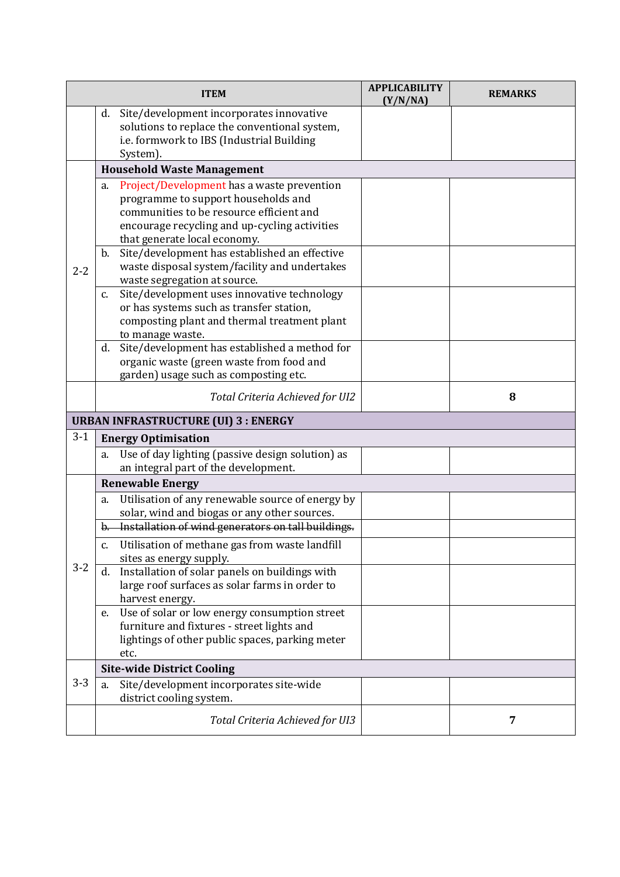|         | <b>ITEM</b>                                                                                                                                                                                                                                                                                                                                                  | <b>APPLICABILITY</b><br>(Y/N/NA) | <b>REMARKS</b> |
|---------|--------------------------------------------------------------------------------------------------------------------------------------------------------------------------------------------------------------------------------------------------------------------------------------------------------------------------------------------------------------|----------------------------------|----------------|
|         | Site/development incorporates innovative<br>d.<br>solutions to replace the conventional system,<br>i.e. formwork to IBS (Industrial Building<br>System).                                                                                                                                                                                                     |                                  |                |
|         | <b>Household Waste Management</b>                                                                                                                                                                                                                                                                                                                            |                                  |                |
| $2 - 2$ | Project/Development has a waste prevention<br>a.<br>programme to support households and<br>communities to be resource efficient and<br>encourage recycling and up-cycling activities<br>that generate local economy.<br>Site/development has established an effective<br>b.<br>waste disposal system/facility and undertakes<br>waste segregation at source. |                                  |                |
|         | Site/development uses innovative technology<br>c.<br>or has systems such as transfer station,<br>composting plant and thermal treatment plant<br>to manage waste.                                                                                                                                                                                            |                                  |                |
|         | Site/development has established a method for<br>d.<br>organic waste (green waste from food and<br>garden) usage such as composting etc.                                                                                                                                                                                                                     |                                  |                |
|         | Total Criteria Achieved for UI2                                                                                                                                                                                                                                                                                                                              |                                  | 8              |
|         | <b>URBAN INFRASTRUCTURE (UI) 3 : ENERGY</b>                                                                                                                                                                                                                                                                                                                  |                                  |                |
| $3 - 1$ | <b>Energy Optimisation</b>                                                                                                                                                                                                                                                                                                                                   |                                  |                |
|         | Use of day lighting (passive design solution) as<br>a.<br>an integral part of the development.                                                                                                                                                                                                                                                               |                                  |                |
|         | <b>Renewable Energy</b>                                                                                                                                                                                                                                                                                                                                      |                                  |                |
|         | Utilisation of any renewable source of energy by<br>a.<br>solar, wind and biogas or any other sources.<br>b. Installation of wind generators on tall buildings.                                                                                                                                                                                              |                                  |                |
|         | Utilisation of methane gas from waste landfill<br>$C_{1}$<br>sites as energy supply.                                                                                                                                                                                                                                                                         |                                  |                |
| $3 - 2$ | Installation of solar panels on buildings with<br>d.<br>large roof surfaces as solar farms in order to<br>harvest energy.                                                                                                                                                                                                                                    |                                  |                |
|         | Use of solar or low energy consumption street<br>e.<br>furniture and fixtures - street lights and<br>lightings of other public spaces, parking meter<br>etc.                                                                                                                                                                                                 |                                  |                |
|         | <b>Site-wide District Cooling</b>                                                                                                                                                                                                                                                                                                                            |                                  |                |
| $3 - 3$ | Site/development incorporates site-wide<br>a.<br>district cooling system.                                                                                                                                                                                                                                                                                    |                                  |                |
|         | Total Criteria Achieved for UI3                                                                                                                                                                                                                                                                                                                              |                                  | $\overline{7}$ |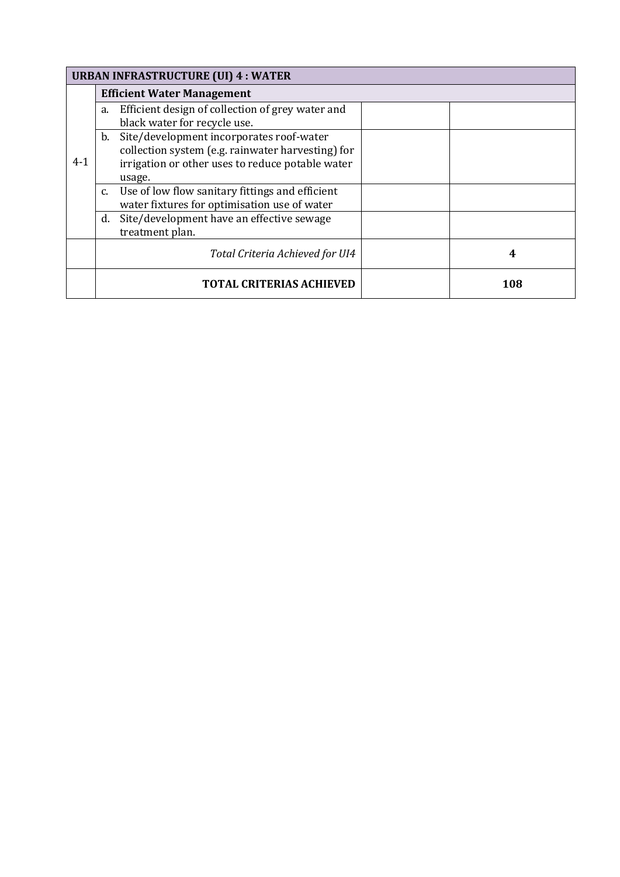|         | <b>URBAN INFRASTRUCTURE (UI) 4 : WATER</b> |                                                   |  |     |  |
|---------|--------------------------------------------|---------------------------------------------------|--|-----|--|
|         |                                            | <b>Efficient Water Management</b>                 |  |     |  |
|         | a.                                         | Efficient design of collection of grey water and  |  |     |  |
|         |                                            | black water for recycle use.                      |  |     |  |
|         | b.                                         | Site/development incorporates roof-water          |  |     |  |
|         |                                            | collection system (e.g. rainwater harvesting) for |  |     |  |
| $4 - 1$ |                                            | irrigation or other uses to reduce potable water  |  |     |  |
|         |                                            | usage.                                            |  |     |  |
|         | $C_{1}$                                    | Use of low flow sanitary fittings and efficient   |  |     |  |
|         |                                            | water fixtures for optimisation use of water      |  |     |  |
|         | d.                                         | Site/development have an effective sewage         |  |     |  |
|         |                                            | treatment plan.                                   |  |     |  |
|         |                                            | Total Criteria Achieved for UI4                   |  | 4   |  |
|         |                                            | <b>TOTAL CRITERIAS ACHIEVED</b>                   |  | 108 |  |